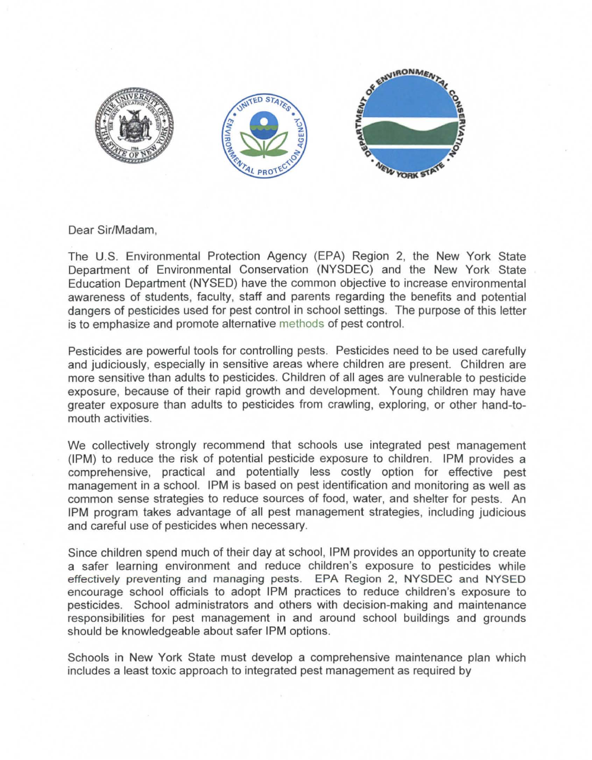

Dear Sir/Madam,

The U.S. Environmental Protection Agency (EPA) Region 2, the New York State Department of Environmental Conservation (NYSDEC) and the New York State Education Department (NYSED) have the common objective to increase environmental awareness of students, faculty, staff and parents regarding the benefits and potential dangers of pesticides used for pest control in school settings. The purpose of this letter is to emphasize and promote alternative methods of pest control.

Pesticides are powerful tools for controlling pests. Pesticides need to be used carefully and judiciously, especially in sensitive areas where children are present. Children are more sensitive than adults to pesticides. Children of all ages are vulnerable to pesticide exposure, because of their rapid growth and development. Young children may have greater exposure than adults to pesticides from crawling, exploring, or other hand-tomouth activities.

We collectively strongly recommend that schools use integrated pest management (IPM) to reduce the risk of potential pesticide exposure to children. IPM provides a comprehensive, practical and potentially less costly option for effective pest management in a school. IPM is based on pest identification and monitoring as well as common sense strategies to reduce sources of food, water, and shelter for pests. An IPM program takes advantage of all pest management strategies, including judicious and careful use of pesticides when necessary.

Since children spend much of their day at school, IPM provides an opportunity to create a safer learning environment and reduce children's exposure to pesticides while effectively preventing and managing pests. EPA Region 2, NYSDEC and NYSED encourage school officials to adopt IPM practices to reduce children's exposure to pesticides. School administrators and others with decision-making and maintenance responsibilities for pest management in and around school buildings and grounds should be knowledgeable about safer IPM options.

Schools in New York State must develop a comprehensive maintenance plan which includes a least toxic approach to integrated pest management as required by